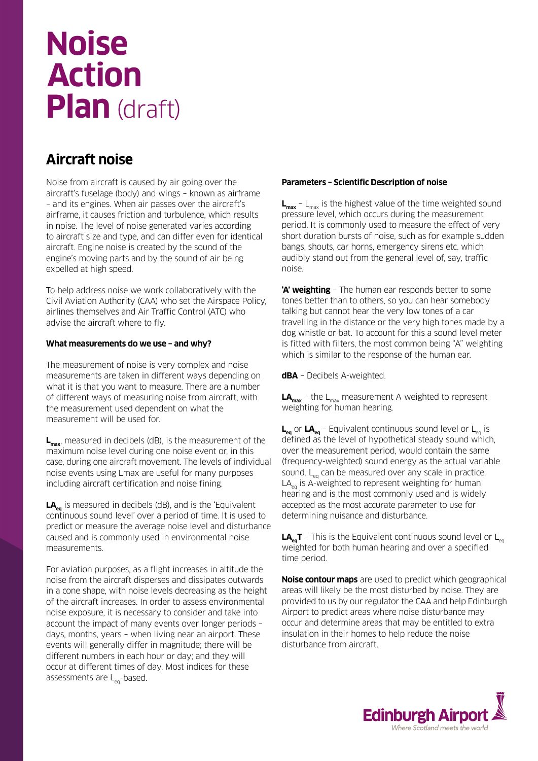# **Noise Action Plan** (draft)

## **Aircraft noise**

Noise from aircraft is caused by air going over the aircraft's fuselage (body) and wings – known as airframe – and its engines. When air passes over the aircraft's airframe, it causes friction and turbulence, which results in noise. The level of noise generated varies according to aircraft size and type, and can differ even for identical aircraft. Engine noise is created by the sound of the engine's moving parts and by the sound of air being expelled at high speed.

To help address noise we work collaboratively with the Civil Aviation Authority (CAA) who set the Airspace Policy, airlines themselves and Air Traffic Control (ATC) who advise the aircraft where to fly.

#### **What measurements do we use – and why?**

The measurement of noise is very complex and noise measurements are taken in different ways depending on what it is that you want to measure. There are a number of different ways of measuring noise from aircraft, with the measurement used dependent on what the measurement will be used for.

**Lmax**, measured in decibels (dB), is the measurement of the maximum noise level during one noise event or, in this case, during one aircraft movement. The levels of individual noise events using Lmax are useful for many purposes including aircraft certification and noise fining.

LA<sub>eq</sub> is measured in decibels (dB), and is the 'Equivalent continuous sound level' over a period of time. It is used to predict or measure the average noise level and disturbance caused and is commonly used in environmental noise measurements.

For aviation purposes, as a flight increases in altitude the noise from the aircraft disperses and dissipates outwards in a cone shape, with noise levels decreasing as the height of the aircraft increases. In order to assess environmental noise exposure, it is necessary to consider and take into account the impact of many events over longer periods – days, months, years – when living near an airport. These events will generally differ in magnitude; there will be different numbers in each hour or day; and they will occur at different times of day. Most indices for these assessments are  $L_{eq}$ -based.

#### **Parameters – Scientific Description of noise**

**L<sub>max</sub>** - L<sub>max</sub> is the highest value of the time weighted sound pressure level, which occurs during the measurement period. It is commonly used to measure the effect of very short duration bursts of noise, such as for example sudden bangs, shouts, car horns, emergency sirens etc. which audibly stand out from the general level of, say, traffic noise.

**'A' weighting** – The human ear responds better to some tones better than to others, so you can hear somebody talking but cannot hear the very low tones of a car travelling in the distance or the very high tones made by a dog whistle or bat. To account for this a sound level meter is fitted with filters, the most common being "A" weighting which is similar to the response of the human ear.

**dBA** – Decibels A-weighted.

 $LA<sub>max</sub>$  – the  $L<sub>max</sub>$  measurement A-weighted to represent weighting for human hearing.

 $L_{eq}$  or  $LA_{eq}$  – Equivalent continuous sound level or  $L_{eq}$  is defined as the level of hypothetical steady sound which, over the measurement period, would contain the same (frequency-weighted) sound energy as the actual variable sound.  $L_{eq}$  can be measured over any scale in practice.  $LA<sub>eq</sub>$  is A-weighted to represent weighting for human hearing and is the most commonly used and is widely accepted as the most accurate parameter to use for determining nuisance and disturbance.

**LA<sub>eq</sub>T** – This is the Equivalent continuous sound level or L<sub>eq</sub> weighted for both human hearing and over a specified time period.

**Noise contour maps** are used to predict which geographical areas will likely be the most disturbed by noise. They are provided to us by our regulator the CAA and help Edinburgh Airport to predict areas where noise disturbance may occur and determine areas that may be entitled to extra insulation in their homes to help reduce the noise disturbance from aircraft.